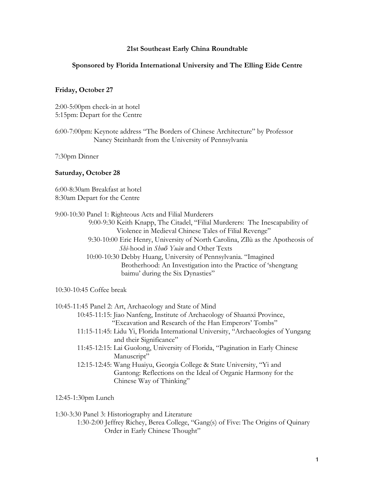# **21st Southeast Early China Roundtable**

## **Sponsored by Florida International University and The Elling Eide Centre**

## **Friday, October 27**

2:00-5:00pm check-in at hotel 5:15pm: Depart for the Centre

6:00-7:00pm: Keynote address "The Borders of Chinese Architecture" by Professor Nancy Steinhardt from the University of Pennsylvania

7:30pm Dinner

### **Saturday, October 28**

6:00-8:30am Breakfast at hotel 8:30am Depart for the Centre

| 9:00-10:30 Panel 1: Righteous Acts and Filial Murderers                        |
|--------------------------------------------------------------------------------|
| 9:00-9:30 Keith Knapp, The Citadel, "Filial Murderers: The Inescapability of   |
| Violence in Medieval Chinese Tales of Filial Revenge"                          |
| 9:30-10:00 Eric Henry, University of North Carolina, Zilù as the Apotheosis of |
| Shì-hood in Shuō Yuàn and Other Texts                                          |
| 10:00-10:30 Debby Huang, University of Pennsylvania. "Imagined                 |
| Brotherhood: An Investigation into the Practice of 'shengtang                  |
| baimu' during the Six Dynasties"                                               |
|                                                                                |

10:30-10:45 Coffee break

| 10:45-11:45 Panel 2: Art, Archaeology and State of Mind                           |
|-----------------------------------------------------------------------------------|
| 10:45-11:15: Jiao Nanfeng, Institute of Archaeology of Shaanxi Province,          |
| "Excavation and Research of the Han Emperors' Tombs"                              |
| 11:15-11:45: Lidu Yi, Florida International University, "Archaeologies of Yungang |
| and their Significance"                                                           |
| 11:45-12:15: Lai Guolong, University of Florida, "Pagination in Early Chinese     |
| Manuscript"                                                                       |
| 12:15-12:45: Wang Huaiyu, Georgia College & State University, "Yi and             |
| Gantong: Reflections on the Ideal of Organic Harmony for the                      |
| Chinese Way of Thinking"                                                          |
|                                                                                   |

12:45-1:30pm Lunch

1:30-3:30 Panel 3: Historiography and Literature

1:30-2:00 Jeffrey Richey, Berea College, "Gang(s) of Five: The Origins of Quinary Order in Early Chinese Thought"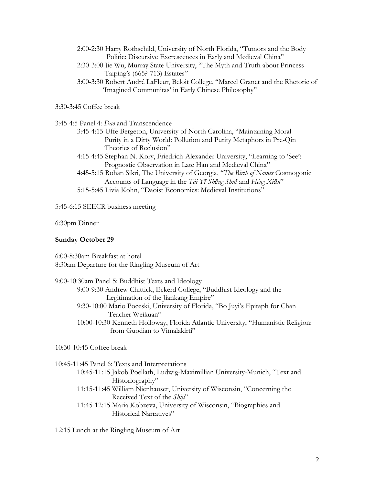- 2:00-2:30 Harry Rothschild, University of North Florida, "Tumors and the Body Politic: Discursive Excrescences in Early and Medieval China"
- 2:30-3:00 Jie Wu, Murray State University, "The Myth and Truth about Princess Taiping's (665?-713) Estates"
- 3:00-3:30 Robert André LaFleur, Beloit College, "Marcel Granet and the Rhetoric of 'Imagined Communitas' in Early Chinese Philosophy"

3:30-3:45 Coffee break

3:45-4:5 Panel 4: *Dao* and Transcendence

- 3:45-4:15 Uffe Bergeton, University of North Carolina, "Maintaining Moral Purity in a Dirty World: Pollution and Purity Metaphors in Pre-Qin Theories of Reclusion"
- 4:15-4:45 Stephan N. Kory, Friedrich-Alexander University, "Learning to 'See': Prognostic Observation in Late Han and Medieval China"
- 4:45-5:15 Rohan Sikri, The University of Georgia, "*The Birth of Names* Cosmogonic Accounts of Language in the *Tài Yī Shēng Shuǐ* and *Héng Xiān*"
- 5:15-5:45 Livia Kohn, "Daoist Economics: Medieval Institutions"

5:45-6:15 SEECR business meeting

6:30pm Dinner

### **Sunday October 29**

6:00-8:30am Breakfast at hotel 8:30am Departure for the Ringling Museum of Art

| 9:00-10:30am Panel 5: Buddhist Texts and Ideology                                |
|----------------------------------------------------------------------------------|
| 9:00-9:30 Andrew Chittick, Eckerd College, "Buddhist Ideology and the            |
| Legitimation of the Jiankang Empire"                                             |
| 9:30-10:00 Mario Poceski, University of Florida, "Bo Juyi's Epitaph for Chan     |
| Teacher Weikuan"                                                                 |
| 10:00-10:30 Kenneth Holloway, Florida Atlantic University, "Humanistic Religion: |
| from Guodian to Vimalakirti"                                                     |
|                                                                                  |

10:30-10:45 Coffee break

| 10:45-11:45 Panel 6: Texts and Interpretations                              |
|-----------------------------------------------------------------------------|
| 10:45-11:15 Jakob Poellath, Ludwig-Maximillian University-Munich, "Text and |
| Historiography"                                                             |
| 11:15-11:45 William Nienhauser, University of Wisconsin, "Concerning the    |
| Received Text of the <i>Shiji</i> "                                         |
| 11:45-12:15 Maria Kobzeva, University of Wisconsin, "Biographies and        |
| Historical Narratives"                                                      |
|                                                                             |

12:15 Lunch at the Ringling Museum of Art